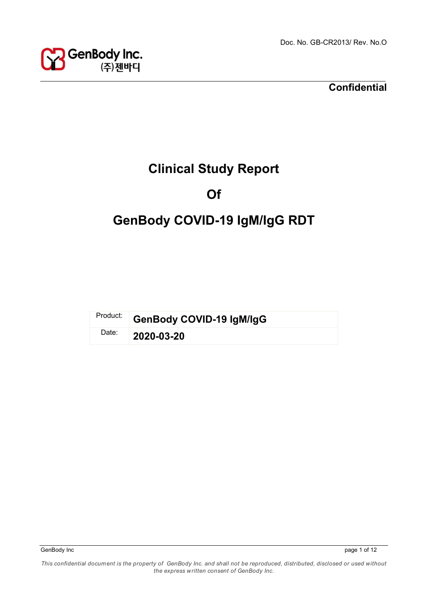

# **Clinical Study Report**

## **Of**

# **GenBody COVID-19 IgM/IgG RDT**

| Product: GenBody COVID-19 IgM/IgG          |
|--------------------------------------------|
| $\overline{a}$ <sup>Date:</sup> 2020-03-20 |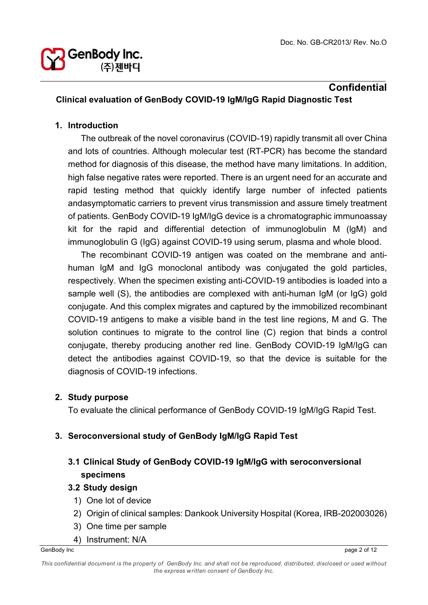

#### **Confidential Clinical evaluation of GenBody COVID-19 IgM/IgG Rapid Diagnostic Test**

#### **1. Introduction**

The outbreak of the novel coronavirus (COVID-19) rapidly transmit all over China and lots of countries. Although molecular test (RT-PCR) has become the standard method for diagnosis of this disease, the method have many limitations. In addition, high false negative rates were reported. There is an urgent need for an accurate and rapid testing method that quickly identify large number of infected patients andasymptomatic carriers to prevent virus transmission and assure timely treatment of patients. GenBody COVID-19 IgM/IgG device is a chromatographic immunoassay kit for the rapid and differential detection of immunoglobulin M (lgM) and immunoglobulin G (IgG) against COVID-19 using serum, plasma and whole blood.

The recombinant COVID-19 antigen was coated on the membrane and anti human IgM and IgG monoclonal antibody was conjugated the gold particles, respectively. When the specimen existing anti-COVID-19 antibodies is loaded into a sample well (S), the antibodies are complexed with anti-human IgM (or IgG) gold conjugate. And this complex migrates and captured by the immobilized recombinant COVID-19 antigens to make a visible band in the test line regions, M and G. The solution continues to migrate to the control line (C) region that binds a control conjugate, thereby producing another red line. GenBody COVID-19 IgM/IgG can detect the antibodies against COVID-19, so that the device is suitable for the diagnosis of COVID-19 infections.

#### **2. Study purpose**

To evaluate the clinical performance of GenBody COVID-19 IgM/IgG Rapid Test.

#### **3. Seroconversional study of GenBody IgM/IgG Rapid Test**

### **3.1 Clinical Study of GenBody COVID-19 IgM/IgG with seroconversional specimens**

#### **3.2 Study design**

- 1) One lot of device
- 2) Origin of clinical samples: Dankook University Hospital (Korea, IRB-202003026)
- 3) One time per sample
- 4) Instrument: N/A

GenBody Inc page 2 of 12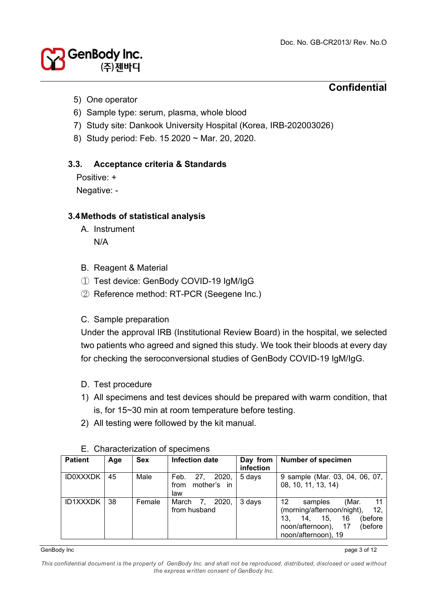**GenBody Inc.**<br>(주)젠바디

- 5) One operator
- 6) Sample type: serum, plasma, whole blood
- 7) Study site: Dankook University Hospital (Korea, IRB-202003026)
- 8) Study period: Feb. 15 2020 ~ Mar. 20, 2020.

#### **3.3. Acceptance criteria & Standards**

Positive: + Negative: -

#### **3.4Methods of statistical analysis**

- A. Instrument N/A
- B. Reagent & Material
- ① Test device: GenBody COVID-19 IgM/IgG
- ② Reference method: RT-PCR (Seegene Inc.)

#### C. Sample preparation

Under the approval IRB (Institutional Review Board) in the hospital, we selected two patients who agreed and signed this study. We took their bloods at every day for checking the seroconversional studies of GenBody COVID-19 IgM/IgG.

- D. Test procedure
- 1) All specimens and test devices should be prepared with warm condition, that is, for 15~30 min at room temperature before testing.
- 2) All testing were followed by the kit manual.

| <b>Patient</b>  | Age | <b>Sex</b> | Infection date                                  | Day from<br>infection | <b>Number of specimen</b>                                                                                                                                                         |
|-----------------|-----|------------|-------------------------------------------------|-----------------------|-----------------------------------------------------------------------------------------------------------------------------------------------------------------------------------|
| <b>ID0XXXDK</b> | 45  | Male       | 2020,<br>Feb.<br>27.<br>from mother's in<br>law | 5 days                | 9 sample (Mar. 03, 04, 06, 07,<br>08, 10, 11, 13, 14)                                                                                                                             |
| <b>ID1XXXDK</b> | 38  | Female     | March 7, 2020,<br>from husband                  | 3 days                | 11<br>12 <sup>12</sup><br>(Mar.<br>samples<br>(morning/afternoon/night),<br>12,<br>13.<br>(before<br>15.<br>16<br>14.<br>noon/afternoon),<br>17<br>(before<br>noon/afternoon), 19 |

#### E. Characterization of specimens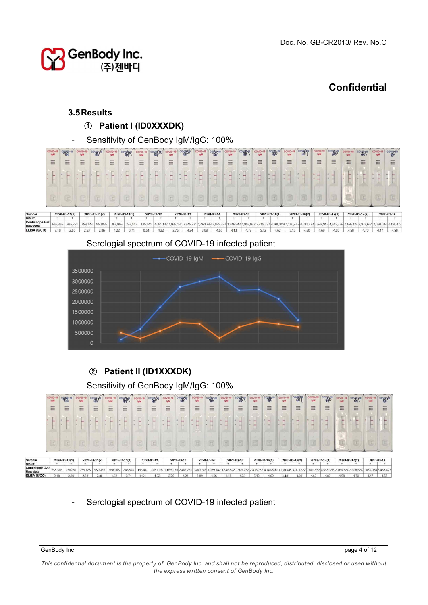

#### **3.5Results**

#### ① **Patient I (ID0XXXDK)**

Sensitivity of GenBody IgM/IgG: 100%

|        | <b>LOVE 1944</b>       | <b>D</b> o                     | loM |                                               |                      | <b>POST</b>                                     | COVID-19<br>loM |                                     | COVID-19<br><b>IgM</b> | COVERY               | <b>IgM</b>                                        | 'n۷                                       | loM                  | МΘ                              | <b>JoM</b>                      | <b>POWER</b>      | <b>JoM</b>                               | <b>IGO</b>                                                                     | loM                                             |                                                | COVID-1 |                      |   | coviews            |
|--------|------------------------|--------------------------------|-----|-----------------------------------------------|----------------------|-------------------------------------------------|-----------------|-------------------------------------|------------------------|----------------------|---------------------------------------------------|-------------------------------------------|----------------------|---------------------------------|---------------------------------|-------------------|------------------------------------------|--------------------------------------------------------------------------------|-------------------------------------------------|------------------------------------------------|---------|----------------------|---|--------------------|
|        | $\qquad \qquad$<br>$=$ | $\frac{1}{2}$<br>$\frac{1}{2}$ | $=$ | $\qquad \qquad \blacksquare$<br>$\frac{1}{2}$ | $=$<br>$\frac{1}{2}$ | $\frac{1}{2}$<br>$\frac{1}{2}$<br>$\frac{1}{2}$ | Ξ               | -<br>$\frac{1}{2}$<br>$\frac{1}{2}$ | Ξ                      | $\frac{1}{2}$<br>$=$ | $\qquad \qquad$<br>$\frac{1}{2}$<br>$\frac{1}{2}$ | $\cdots$<br>$\frac{1}{2}$<br><b>SHOW:</b> | $\frac{1}{2}$<br>$=$ | $\cdots$<br><b>STATE</b><br>$-$ | $=$<br>$\overline{\phantom{a}}$ | $-$<br>-<br>10000 | 1000<br>$\qquad \qquad$<br>$\frac{1}{2}$ | $\qquad \qquad \overline{\qquad \qquad }%$<br>$\qquad \qquad$<br>$\frac{1}{2}$ | $\frac{1}{2}$<br>$\frac{1}{2}$<br>$\frac{1}{2}$ | $\frac{1}{2}$<br>$\frac{1}{2}$<br><b>STATE</b> | Ξ       | $\frac{1}{2}$<br>$-$ | Ξ | $\frac{1}{2}$<br>- |
|        |                        |                                |     |                                               |                      |                                                 |                 |                                     |                        |                      | -                                                 |                                           | m                    |                                 |                                 |                   |                                          |                                                                                |                                                 |                                                |         |                      |   |                    |
|        |                        |                                |     |                                               |                      |                                                 |                 |                                     |                        |                      |                                                   |                                           |                      |                                 |                                 |                   |                                          |                                                                                |                                                 |                                                |         |                      |   |                    |
| Sample |                        | 2020-03-11(1)                  |     | 2020-03-11(2)                                 |                      | 2020-03-11(3)                                   |                 | 2020-03-12                          |                        | 2020-03-13           |                                                   | 2020-03-14                                |                      | 2020-03-15                      |                                 | 2020-03-16(1)     |                                          | 2020-03-16(2)                                                                  |                                                 | 2020-03-17(1)                                  |         | 2020-03-17(2)        |   | 2020-03-19         |
| esult  |                        |                                |     |                                               |                      |                                                 |                 |                                     |                        |                      |                                                   |                                           |                      |                                 |                                 |                   |                                          |                                                                                |                                                 |                                                |         |                      |   |                    |

Formscope G20<br>
ELISA (SICO) 2.18 2.80 2.53 2.86 1.22 0.74 0.64 4.22 2.76 4.24 3.89 4.66 4.13 4.72 5.42 3.818 4.62 3.18 4.60 4.69 4.89 4.80 4.58 4.70 4.47 4.58

#### Serologial spectrum of COVID-19 infected patient



#### ② **Patient II (ID1XXXDK)**

#### Sensitivity of GenBody IgM/IgG: 100%

| Ξ |  | $=$ | $=$ | Ξ | Ξ | $\equiv$ | Ξ | Ξ | Ξ | Ξ | Ξ | Ξ | Ξ | Ξ | Ξ | $=$ | Ξ | Ξ | $\equiv$ | $=$ |  |  |
|---|--|-----|-----|---|---|----------|---|---|---|---|---|---|---|---|---|-----|---|---|----------|-----|--|--|
|   |  |     |     |   |   |          |   |   |   |   |   |   |   |   |   |     |   |   |          |     |  |  |
|   |  |     |     |   |   |          |   |   |   |   |   |   |   |   |   |     |   |   |          |     |  |  |
|   |  |     |     |   |   |          |   |   |   |   |   |   |   |   |   |     |   |   |          |     |  |  |

| Sample                            | 2020-03-11(1) |               |    | 2020-03-11(2) | 2020-03-11(3) |     | 2020-03-12 |     | 2020-03-13 | 2020-03-14 |      |      | 2020-03-15 |                | 2020-03-16(1) | 2020-03-16(2) |                  | 2020-03-17(1) |     | 2020-03-17(2) |      |     | 2020-03-19 |
|-----------------------------------|---------------|---------------|----|---------------|---------------|-----|------------|-----|------------|------------|------|------|------------|----------------|---------------|---------------|------------------|---------------|-----|---------------|------|-----|------------|
| resuli                            |               |               |    |               |               |     |            |     |            |            |      |      |            |                |               |               |                  |               |     |               |      |     |            |
| <b>Confiscope G20</b><br>Raw data |               |               |    |               |               |     |            |     |            |            |      |      |            |                |               |               |                  |               |     |               |      |     |            |
| ELISA (S/CO)                      | 718           | $\sim$ $\sim$ | 55 | OC            | 22            | 064 | 422        | 77C |            |            | 4.66 | A.12 | A72        | A <sub>2</sub> |               | 3.18          | A E <sub>0</sub> |               | 180 |               | 1.70 | AAT |            |

#### Serologial spectrum of COVID-19 infected patient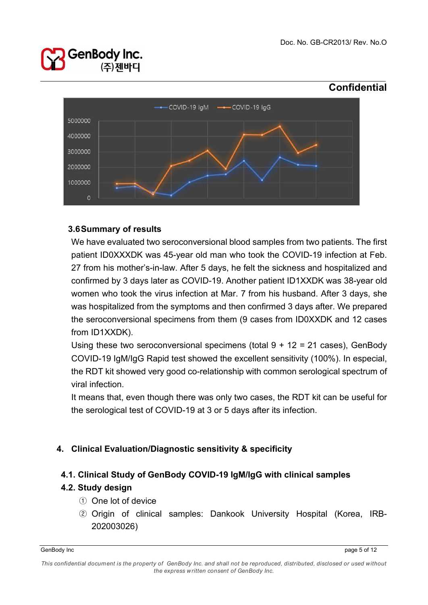## GenBody Inc. (주)제바디



#### **3.6Summary of results**

We have evaluated two seroconversional blood samples from two patients. The first patient ID0XXXDK was 45-year old man who took the COVID-19 infection at Feb. 27 from his mother's-in-law. After 5 days, he felt the sickness and hospitalized and confirmed by 3 days later as COVID-19. Another patient ID1XXDK was 38-year old women who took the virus infection at Mar. 7 from his husband. After 3 days, she was hospitalized from the symptoms and then confirmed 3 days after. We prepared the seroconversional specimens from them (9 cases from ID0XXDK and 12 cases from ID1XXDK).

Using these two seroconversional specimens (total  $9 + 12 = 21$  cases), GenBody COVID-19 IgM/IgG Rapid test showed the excellent sensitivity (100%). In especial, the RDT kit showed very good co-relationship with common serological spectrum of viral infection.

It means that, even though there was only two cases, the RDT kit can be useful for the serological test of COVID-19 at 3 or 5 days after its infection.

#### **4. Clinical Evaluation/Diagnostic sensitivity & specificity**

#### **4.1. Clinical Study of GenBody COVID-19 IgM/IgG with clinical samples**

#### **4.2. Study design**

- ① One lot of device
- ② Origin of clinical samples: Dankook University Hospital (Korea, IRB- 202003026)

GenBody Inc page 5 of 12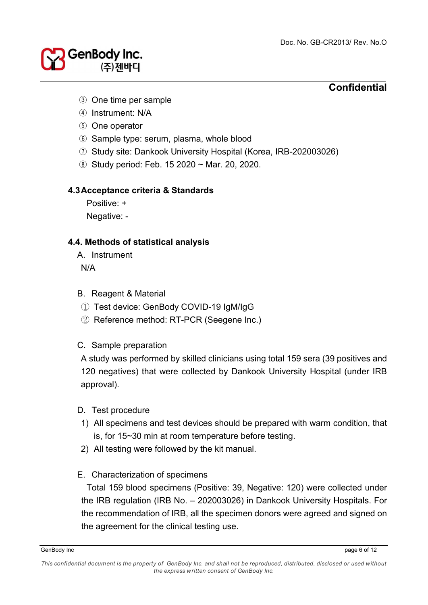GenBody Inc.

- ③ One time per sample
- ④ Instrument: N/A
- ⑤ One operator
- ⑥ Sample type: serum, plasma, whole blood
- ⑦ Study site: Dankook University Hospital (Korea, IRB-202003026)
- ⑧ Study period: Feb. 15 2020 ~ Mar. 20, 2020.

#### **4.3Acceptance criteria & Standards**

Positive: + Negative: -

#### **4.4. Methods of statistical analysis**

- A. Instrument N/A
- B. Reagent & Material
- ① Test device: GenBody COVID-19 IgM/IgG
- ② Reference method: RT-PCR (Seegene Inc.)
- C. Sample preparation

A study was performed by skilled clinicians using total 159 sera (39 positives and 120 negatives) that were collected by Dankook University Hospital (under IRB approval).

- D. Test procedure
- 1) All specimens and test devices should be prepared with warm condition, that is, for 15~30 min at room temperature before testing.
- 2) All testing were followed by the kit manual.
- E. Characterization of specimens

Total 159 blood specimens (Positive: 39, Negative: 120) were collected under the IRB regulation (IRB No. – 202003026) in Dankook University Hospitals. For the recommendation of IRB, all the specimen donors were agreed and signed on the agreement for the clinical testing use.

*This confidential document is the property of GenBody Inc. and shall not be reproduced, distributed, disclosed or used without the express written consent of GenBody Inc.*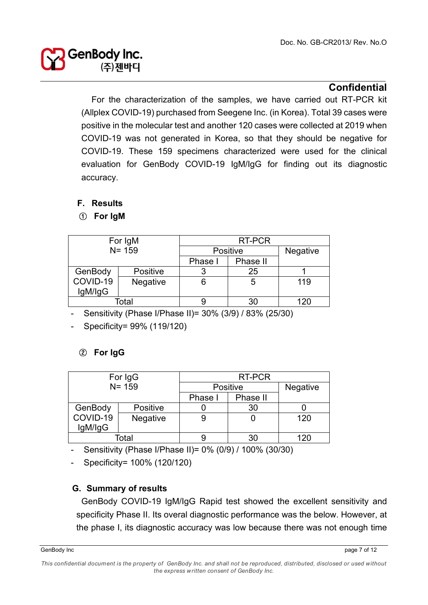## GenBody Inc. (주)제바디

## **Confidential**

For the characterization of the samples, we have carried out RT-PCR kit (Allplex COVID-19) purchased from Seegene Inc. (in Korea). Total 39 cases were positive in the molecular test and another 120 cases were collected at 2019 when COVID-19 was not generated in Korea, so that they should be negative for COVID-19. These 159 specimens characterized were used for the clinical evaluation for GenBody COVID-19 IgM/IgG for finding out its diagnostic accuracy.

- **F. Results**
- ① **For IgM**

|          | For IgM         | RT-PCR          |                 |      |  |  |  |  |
|----------|-----------------|-----------------|-----------------|------|--|--|--|--|
|          | $N = 159$       | <b>Positive</b> | <b>Negative</b> |      |  |  |  |  |
|          |                 | Phase I         | Phase II        |      |  |  |  |  |
| GenBody  | <b>Positive</b> |                 | 25              |      |  |  |  |  |
| COVID-19 | <b>Negative</b> |                 | 5               | 119  |  |  |  |  |
| IgM/IgG  |                 |                 |                 |      |  |  |  |  |
|          | Total           |                 | 30              | 12LL |  |  |  |  |

- Sensitivity (Phase I/Phase II)= 30% (3/9) / 83% (25/30)
- Specificity= 99% (119/120)

## ② **For IgG**

|          | For IgG         | RT-PCR  |                      |     |  |  |  |  |
|----------|-----------------|---------|----------------------|-----|--|--|--|--|
|          | $N = 159$       |         | Positive<br>Negative |     |  |  |  |  |
|          |                 | Phase I | Phase II             |     |  |  |  |  |
| GenBody  | <b>Positive</b> |         | 30                   |     |  |  |  |  |
| COVID-19 | Negative        |         |                      | 120 |  |  |  |  |
| IgM/IgG  |                 |         |                      |     |  |  |  |  |
|          | Total           |         | 30                   | 20  |  |  |  |  |

- Sensitivity (Phase I/Phase II)= 0% (0/9) / 100% (30/30)
- Specificity= 100% (120/120)

#### **G. Summary of results**

GenBody COVID-19 IgM/IgG Rapid test showed the excellent sensitivity and specificity Phase II. Its overal diagnostic performance was the below. However, at the phase I, its diagnostic accuracy was low because there was not enough time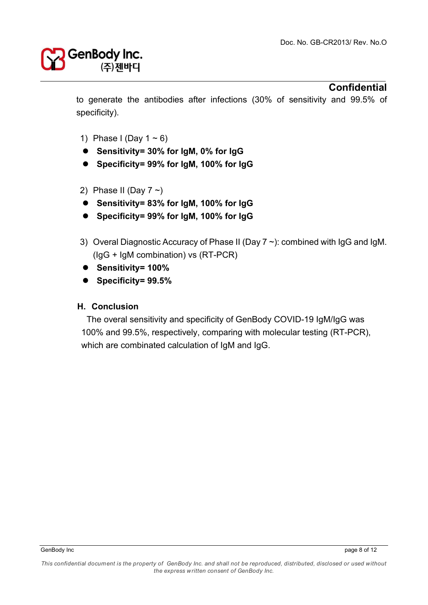## GenBody Inc. (주)제바디

#### **Confidential**

to generate the antibodies after infections (30% of sensitivity and 99.5% of specificity).

- 1) Phase I (Day  $1 \sim 6$ )
- l **Sensitivity= 30% for IgM, 0% for IgG**
- Specificity= 99% for IgM, 100% for IgG
- 2) Phase II (Day  $7 \sim$ )
- Sensitivity= 83% for IgM, 100% for IgG
- Specificity= 99% for IgM, 100% for IgG
- 3) Overal Diagnostic Accuracy of Phase II (Day 7 ~): combined with IgG and IgM. (IgG + IgM combination) vs (RT-PCR)
- Sensitivity= 100%
- Specificity= 99.5%

#### **H. Conclusion**

The overal sensitivity and specificity of GenBody COVID-19 IgM/IgG was 100% and 99.5%, respectively, comparing with molecular testing (RT-PCR), which are combinated calculation of IgM and IgG.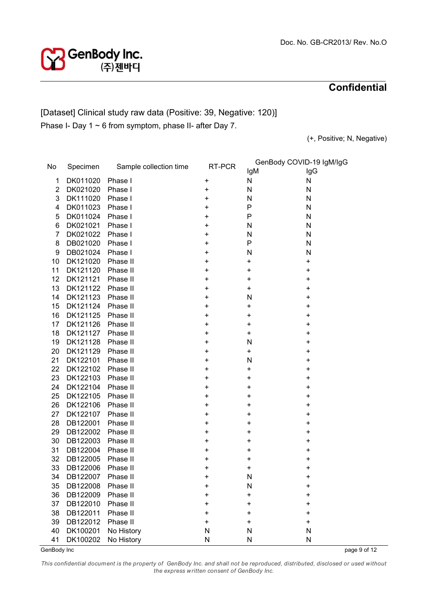

### [Dataset] Clinical study raw data (Positive: 39, Negative: 120)] Phase I- Day 1 ~ 6 from symptom, phase II- after Day 7.

(+, Positive; N, Negative)

| No             |          | Sample collection time | RT-PCR    |     | GenBody COVID-19 IgM/IgG |  |
|----------------|----------|------------------------|-----------|-----|--------------------------|--|
|                | Specimen |                        |           | lgM | lgG                      |  |
| 1              | DK011020 | Phase I                | +         | N   | N                        |  |
| $\overline{2}$ | DK021020 | Phase I                | +         | N   | N                        |  |
| 3              | DK111020 | Phase I                | +         | N   | ${\sf N}$                |  |
| 4              | DK011023 | Phase I                | $\ddot{}$ | P   | N                        |  |
| 5              | DK011024 | Phase I                | +         | P   | N                        |  |
| 6              | DK021021 | Phase I                | +         | N   | N                        |  |
| 7              | DK021022 | Phase I                | +         | N   | N                        |  |
| 8              | DB021020 | Phase I                | +         | P   | N                        |  |
| 9              | DB021024 | Phase I                | +         | N   | N                        |  |
| 10             | DK121020 | Phase II               | +         | +   | +                        |  |
| 11             | DK121120 | Phase II               | +         | +   | +                        |  |
| 12             | DK121121 | Phase II               | +         | +   | +                        |  |
| 13             | DK121122 | Phase II               | +         | +   | +                        |  |
| 14             | DK121123 | Phase II               | +         | N   | +                        |  |
| 15             | DK121124 | Phase II               | $\ddot{}$ | +   | +                        |  |
| 16             | DK121125 | Phase II               | +         | +   | +                        |  |
| 17             | DK121126 | Phase II               | +         | +   | +                        |  |
| 18             | DK121127 | Phase II               | +         | +   | +                        |  |
| 19             | DK121128 | Phase II               | +         | N   | +                        |  |
| 20             | DK121129 | Phase II               | +         | +   | +                        |  |
| 21             | DK122101 | Phase II               | +         | N   | +                        |  |
| 22             | DK122102 | Phase II               | +         | +   | +                        |  |
| 23             | DK122103 | Phase II               | +         | +   | +                        |  |
| 24             | DK122104 | Phase II               | +         | +   | +                        |  |
| 25             | DK122105 | Phase II               | +         | +   | +                        |  |
| 26             | DK122106 | Phase II               | +         | +   | +                        |  |
| 27             | DK122107 | Phase II               | $\ddot{}$ | +   | +                        |  |
| 28             | DB122001 | Phase II               | $\ddot{}$ | +   | +                        |  |
| 29             | DB122002 | Phase II               | $\ddot{}$ | +   | +                        |  |
| 30             | DB122003 | Phase II               | +         | +   | +                        |  |
| 31             | DB122004 | Phase II               | +         | +   | +                        |  |
| 32             | DB122005 | Phase II               | +         | +   | +                        |  |
| 33             | DB122006 | Phase II               | +         | +   | +                        |  |
| 34             | DB122007 | Phase II               | +         | N   | +                        |  |
| 35             | DB122008 | Phase II               | +         | N   | +                        |  |
| 36             | DB122009 | Phase II               | +         | +   | +                        |  |
| 37             | DB122010 | Phase II               | +         | +   | +                        |  |
| 38             | DB122011 | Phase II               | +         | +   | +                        |  |
| 39             | DB122012 | Phase II               | +         | +   | +                        |  |
| 40             | DK100201 | No History             | N         | N   | N                        |  |
| 41             | DK100202 | No History             | N         | N   | N                        |  |

GenBody Inc page 9 of 12

*This confidential document is the property of GenBody Inc. and shall not be reproduced, distributed, disclosed or used without the express written consent of GenBody Inc.*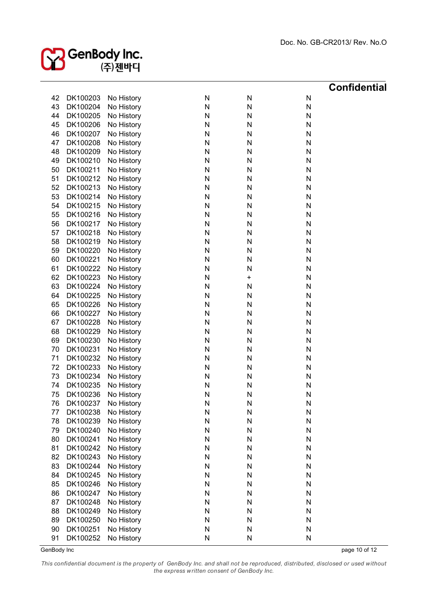|  | <b>ConBody Inc.</b><br>(주)제바디<br>(주)젠바디 |
|--|-----------------------------------------|
|--|-----------------------------------------|

|    |          |            |           |                                  |              | <b>Confidential</b> |
|----|----------|------------|-----------|----------------------------------|--------------|---------------------|
| 42 | DK100203 | No History | N         | N                                | N            |                     |
| 43 | DK100204 | No History | N         | N                                | N            |                     |
| 44 | DK100205 | No History | N         | N                                | N            |                     |
| 45 | DK100206 | No History | N         | N                                | N            |                     |
| 46 | DK100207 | No History | N         | N                                | N            |                     |
| 47 | DK100208 | No History | N         | N                                | N            |                     |
| 48 | DK100209 | No History | N         | N                                | N            |                     |
| 49 | DK100210 | No History | N         | N                                | N            |                     |
| 50 | DK100211 | No History | N         | N                                | N            |                     |
| 51 | DK100212 | No History | N         | N                                | N            |                     |
| 52 | DK100213 | No History | ${\sf N}$ | N                                | N            |                     |
| 53 | DK100214 | No History | N         | N                                | N            |                     |
| 54 | DK100215 | No History | N         | N                                | N            |                     |
| 55 | DK100216 | No History | N         | N                                | N            |                     |
| 56 | DK100217 | No History | N         | N                                | N            |                     |
| 57 | DK100218 | No History | N         | N                                | N            |                     |
| 58 | DK100219 | No History | N         | N                                | N            |                     |
| 59 | DK100220 | No History | N         | N                                | N            |                     |
| 60 | DK100221 | No History | N         | N                                | N            |                     |
| 61 | DK100222 | No History | N         | N                                | N            |                     |
| 62 | DK100223 | No History | N         | $\begin{array}{c} + \end{array}$ | N            |                     |
| 63 | DK100224 | No History | N         | N                                | N            |                     |
| 64 | DK100225 | No History | N         | N                                | N            |                     |
| 65 | DK100226 | No History | N         | N                                | N            |                     |
| 66 | DK100227 | No History | N         | N                                | N            |                     |
| 67 | DK100228 | No History | N         | N                                | N            |                     |
| 68 | DK100229 | No History | N         | N                                | N            |                     |
| 69 | DK100230 | No History | N         | N                                | N            |                     |
| 70 | DK100231 | No History | N         | N                                | N            |                     |
| 71 | DK100232 | No History | N         | N                                | N            |                     |
| 72 | DK100233 | No History | N         | N                                | N            |                     |
| 73 | DK100234 | No History | N         | N                                | N            |                     |
| 74 | DK100235 | No History | N         | N                                | N            |                     |
| 75 | DK100236 | No History | N         | N                                | N            |                     |
| 76 | DK100237 | No History | N         | N                                | N            |                     |
| 77 | DK100238 | No History | N         | N                                | N            |                     |
| 78 | DK100239 | No History | N         | N                                | N            |                     |
| 79 | DK100240 | No History | N         | N                                | N            |                     |
| 80 | DK100241 | No History | N         | N                                | N            |                     |
| 81 | DK100242 | No History | N         | Ν                                | N            |                     |
| 82 | DK100243 | No History | N         | N                                | $\mathsf{N}$ |                     |
| 83 | DK100244 | No History | N         | N                                | N            |                     |
| 84 | DK100245 | No History | N         | N                                | N            |                     |
| 85 | DK100246 | No History | N         | Ν                                | N            |                     |
| 86 | DK100247 | No History | N         | N                                | N            |                     |
| 87 | DK100248 | No History | N         | N                                | N            |                     |
| 88 | DK100249 | No History | N         | Ν                                | N            |                     |
| 89 | DK100250 | No History | N         | N                                | N            |                     |
| 90 | DK100251 | No History | N         | N                                | N            |                     |
| 91 | DK100252 | No History | N         | N                                | N            |                     |

GenBody Inc page 10 of 12

*This confidential document is the property of GenBody Inc. and shall not be reproduced, distributed, disclosed or used without the express written consent of GenBody Inc.*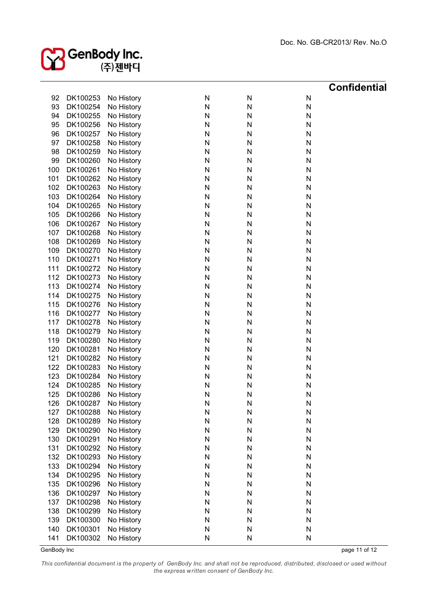|            |                      |                          |              |        | <b>Confidential</b> |  |
|------------|----------------------|--------------------------|--------------|--------|---------------------|--|
| 92         | DK100253             | No History               | ${\sf N}$    | N      | N                   |  |
| 93         | DK100254             | No History               | N            | N      | N                   |  |
| 94         | DK100255             | No History               | N            | N      | N                   |  |
| 95         | DK100256             | No History               | N            | N      | N                   |  |
| 96         | DK100257             | No History               | N            | N      | N                   |  |
| 97         | DK100258             | No History               | N            | N      | N                   |  |
| 98         | DK100259             | No History               | ${\sf N}$    | N      | N                   |  |
| 99         | DK100260             | No History               | ${\sf N}$    | N      | N                   |  |
| 100        | DK100261             | No History               | N            | N      | N                   |  |
| 101        | DK100262             | No History               | N            | N      | N                   |  |
| 102        | DK100263             | No History               | N            | N      | N                   |  |
| 103        | DK100264             | No History               | $\mathsf{N}$ | N      | N                   |  |
| 104        | DK100265             | No History               | $\mathsf{N}$ | N      | N                   |  |
| 105        | DK100266             | No History               | ${\sf N}$    | N      | N                   |  |
| 106        | DK100267             | No History               | N            | N      | N                   |  |
| 107        | DK100268             | No History               | $\mathsf{N}$ | N      | N                   |  |
| 108        | DK100269             | No History               | ${\sf N}$    | N      | N                   |  |
| 109        | DK100270             | No History               | ${\sf N}$    | N      | N                   |  |
| 110        | DK100271             | No History               | ${\sf N}$    | N      | N                   |  |
| 111        | DK100272             | No History               | ${\sf N}$    | N      | N                   |  |
| 112        | DK100273             | No History               | N            | N      | N                   |  |
| 113        | DK100274             | No History               | N            | N      | N                   |  |
| 114        | DK100275             | No History               | N            | N      | N                   |  |
| 115        | DK100276             | No History               | N            | N      | N                   |  |
| 116        | DK100277             | No History               | N            | N      | N                   |  |
| 117        | DK100278             | No History               | N            | N      | N                   |  |
| 118        | DK100279             | No History               | N            | N      | N                   |  |
| 119        | DK100280             | No History               | N            | N      | N                   |  |
| 120        | DK100281             | No History               | N            | N      | N                   |  |
| 121        | DK100282             | No History               | N            | N      | N                   |  |
| 122        | DK100283             | No History               | N            | N      | N                   |  |
| 123        | DK100284             | No History               | N            | N      | N                   |  |
| 124        | DK100285             | No History<br>No History | N<br>N       | N      | N<br>N              |  |
| 125<br>126 | DK100286             |                          | N            | N      | N                   |  |
| 127        | DK100287<br>DK100288 | No History<br>No History | N            | N<br>N | N                   |  |
| 128        | DK100289             | No History               | N            | N      | N                   |  |
| 129        | DK100290             | No History               | N            | N      | N                   |  |
| 130        | DK100291             | No History               | N            | N      | N                   |  |
| 131        | DK100292             | No History               | N            | N      | N                   |  |
| 132        | DK100293             | No History               | N            | N      | N                   |  |
| 133        | DK100294             | No History               | N            | N      | N                   |  |
| 134        | DK100295             | No History               | N            | N      | N                   |  |
| 135        | DK100296             | No History               | ${\sf N}$    | N      | N                   |  |
| 136        | DK100297             | No History               | N            | N      | N                   |  |
| 137        | DK100298             | No History               | N            | N      | N                   |  |
| 138        | DK100299             | No History               | N            | N      | N                   |  |
| 139        | DK100300             | No History               | N            | N      | N                   |  |
| 140        | DK100301             | No History               | N            | N      | N                   |  |
| 141        | DK100302             | No History               | N            | N      | N                   |  |
|            |                      |                          |              |        |                     |  |

GenBody Inc page 11 of 12

*This confidential document is the property of GenBody Inc. and shall not be reproduced, distributed, disclosed or used without the express written consent of GenBody Inc.*